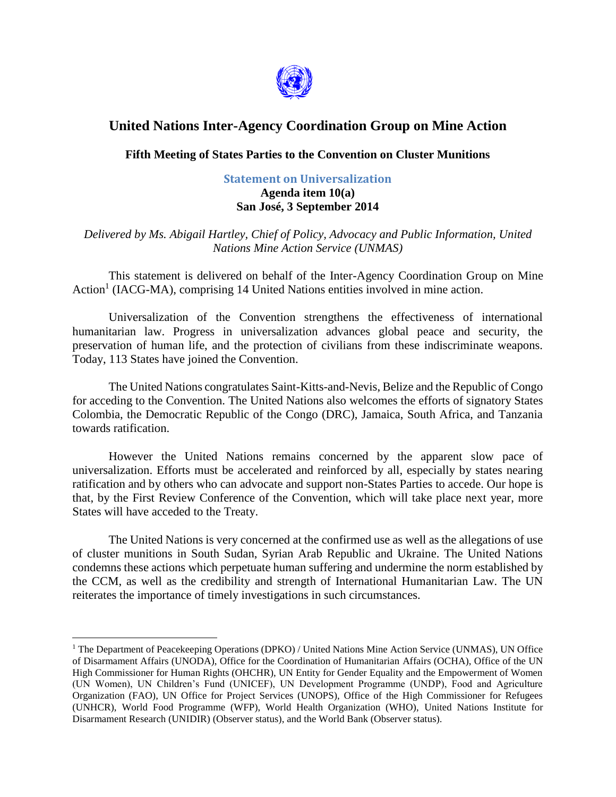

## **United Nations Inter-Agency Coordination Group on Mine Action**

## **Fifth Meeting of States Parties to the Convention on Cluster Munitions**

## **Statement on Universalization Agenda item 10(a) San José, 3 September 2014**

*Delivered by Ms. Abigail Hartley, Chief of Policy, Advocacy and Public Information, United Nations Mine Action Service (UNMAS)*

This statement is delivered on behalf of the Inter-Agency Coordination Group on Mine Action<sup>1</sup> (IACG-MA), comprising 14 United Nations entities involved in mine action.

Universalization of the Convention strengthens the effectiveness of international humanitarian law. Progress in universalization advances global peace and security, the preservation of human life, and the protection of civilians from these indiscriminate weapons. Today, 113 States have joined the Convention.

The United Nations congratulates Saint-Kitts-and-Nevis, Belize and the Republic of Congo for acceding to the Convention. The United Nations also welcomes the efforts of signatory States Colombia, the Democratic Republic of the Congo (DRC), Jamaica, South Africa, and Tanzania towards ratification.

However the United Nations remains concerned by the apparent slow pace of universalization. Efforts must be accelerated and reinforced by all, especially by states nearing ratification and by others who can advocate and support non-States Parties to accede. Our hope is that, by the First Review Conference of the Convention, which will take place next year, more States will have acceded to the Treaty.

The United Nations is very concerned at the confirmed use as well as the allegations of use of cluster munitions in South Sudan, Syrian Arab Republic and Ukraine. The United Nations condemns these actions which perpetuate human suffering and undermine the norm established by the CCM, as well as the credibility and strength of International Humanitarian Law. The UN reiterates the importance of timely investigations in such circumstances.

 $\overline{a}$ 

<sup>&</sup>lt;sup>1</sup> The Department of Peacekeeping Operations (DPKO) / United Nations Mine Action Service (UNMAS), UN Office of Disarmament Affairs (UNODA), Office for the Coordination of Humanitarian Affairs (OCHA), Office of the UN High Commissioner for Human Rights (OHCHR), UN Entity for Gender Equality and the Empowerment of Women (UN Women), UN Children's Fund (UNICEF), UN Development Programme (UNDP), Food and Agriculture Organization (FAO), UN Office for Project Services (UNOPS), Office of the High Commissioner for Refugees (UNHCR), World Food Programme (WFP), World Health Organization (WHO), United Nations Institute for Disarmament Research (UNIDIR) (Observer status), and the World Bank (Observer status).